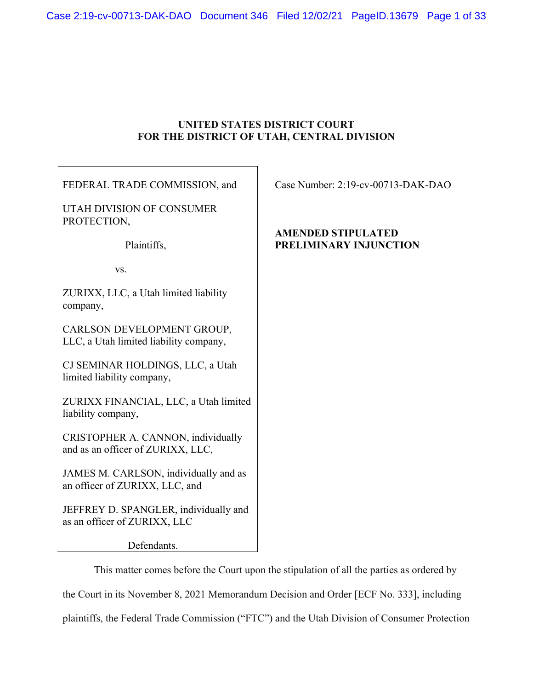# **UNITED STATES DISTRICT COURT FOR THE DISTRICT OF UTAH, CENTRAL DIVISION**

FEDERAL TRADE COMMISSION, and

UTAH DIVISION OF CONSUMER PROTECTION,

Plaintiffs,

vs.

ZURIXX, LLC, a Utah limited liability company,

CARLSON DEVELOPMENT GROUP, LLC, a Utah limited liability company,

CJ SEMINAR HOLDINGS, LLC, a Utah limited liability company,

ZURIXX FINANCIAL, LLC, a Utah limited liability company,

CRISTOPHER A. CANNON, individually and as an officer of ZURIXX, LLC,

JAMES M. CARLSON, individually and as an officer of ZURIXX, LLC, and

JEFFREY D. SPANGLER, individually and as an officer of ZURIXX, LLC

Defendants.

This matter comes before the Court upon the stipulation of all the parties as ordered by the Court in its November 8, 2021 Memorandum Decision and Order [ECF No. 333], including plaintiffs, the Federal Trade Commission ("FTC") and the Utah Division of Consumer Protection

Case Number: 2:19-cv-00713-DAK-DAO

# **AMENDED STIPULATED PRELIMINARY INJUNCTION**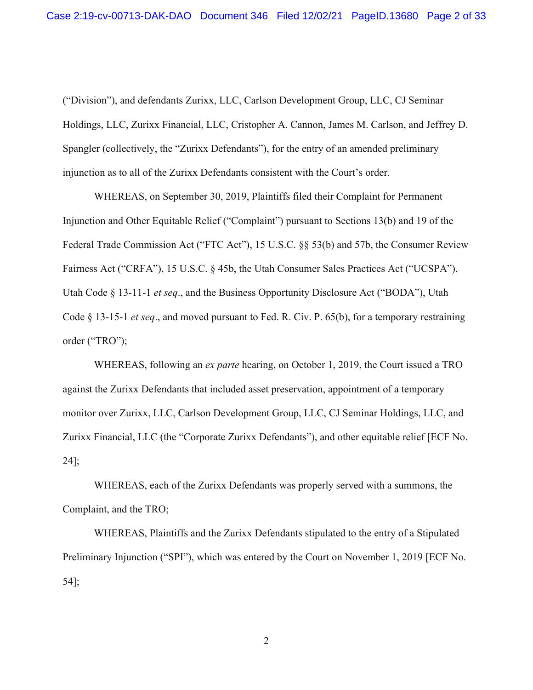("Division"), and defendants Zurixx, LLC, Carlson Development Group, LLC, CJ Seminar Holdings, LLC, Zurixx Financial, LLC, Cristopher A. Cannon, James M. Carlson, and Jeffrey D. Spangler (collectively, the "Zurixx Defendants"), for the entry of an amended preliminary injunction as to all of the Zurixx Defendants consistent with the Court's order.

WHEREAS, on September 30, 2019, Plaintiffs filed their Complaint for Permanent Injunction and Other Equitable Relief ("Complaint") pursuant to Sections 13(b) and 19 of the Federal Trade Commission Act ("FTC Act"), 15 U.S.C. §§ 53(b) and 57b, the Consumer Review Fairness Act ("CRFA"), 15 U.S.C. § 45b, the Utah Consumer Sales Practices Act ("UCSPA"), Utah Code § 13-11-1 *et seq*., and the Business Opportunity Disclosure Act ("BODA"), Utah Code § 13-15-1 *et seq*., and moved pursuant to Fed. R. Civ. P. 65(b), for a temporary restraining order ("TRO");

WHEREAS, following an *ex parte* hearing, on October 1, 2019, the Court issued a TRO against the Zurixx Defendants that included asset preservation, appointment of a temporary monitor over Zurixx, LLC, Carlson Development Group, LLC, CJ Seminar Holdings, LLC, and Zurixx Financial, LLC (the "Corporate Zurixx Defendants"), and other equitable relief [ECF No. 24];

WHEREAS, each of the Zurixx Defendants was properly served with a summons, the Complaint, and the TRO;

WHEREAS, Plaintiffs and the Zurixx Defendants stipulated to the entry of a Stipulated Preliminary Injunction ("SPI"), which was entered by the Court on November 1, 2019 [ECF No. 54];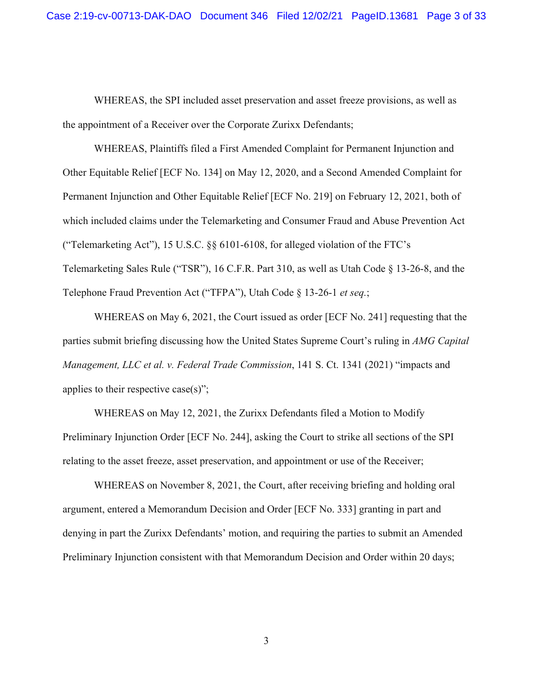WHEREAS, the SPI included asset preservation and asset freeze provisions, as well as the appointment of a Receiver over the Corporate Zurixx Defendants;

WHEREAS, Plaintiffs filed a First Amended Complaint for Permanent Injunction and Other Equitable Relief [ECF No. 134] on May 12, 2020, and a Second Amended Complaint for Permanent Injunction and Other Equitable Relief [ECF No. 219] on February 12, 2021, both of which included claims under the Telemarketing and Consumer Fraud and Abuse Prevention Act ("Telemarketing Act"), 15 U.S.C. §§ 6101-6108, for alleged violation of the FTC's Telemarketing Sales Rule ("TSR"), 16 C.F.R. Part 310, as well as Utah Code § 13-26-8, and the Telephone Fraud Prevention Act ("TFPA"), Utah Code § 13-26-1 *et seq.*;

WHEREAS on May 6, 2021, the Court issued as order [ECF No. 241] requesting that the parties submit briefing discussing how the United States Supreme Court's ruling in *AMG Capital Management, LLC et al. v. Federal Trade Commission*, 141 S. Ct. 1341 (2021) "impacts and applies to their respective case(s)";

WHEREAS on May 12, 2021, the Zurixx Defendants filed a Motion to Modify Preliminary Injunction Order [ECF No. 244], asking the Court to strike all sections of the SPI relating to the asset freeze, asset preservation, and appointment or use of the Receiver;

WHEREAS on November 8, 2021, the Court, after receiving briefing and holding oral argument, entered a Memorandum Decision and Order [ECF No. 333] granting in part and denying in part the Zurixx Defendants' motion, and requiring the parties to submit an Amended Preliminary Injunction consistent with that Memorandum Decision and Order within 20 days;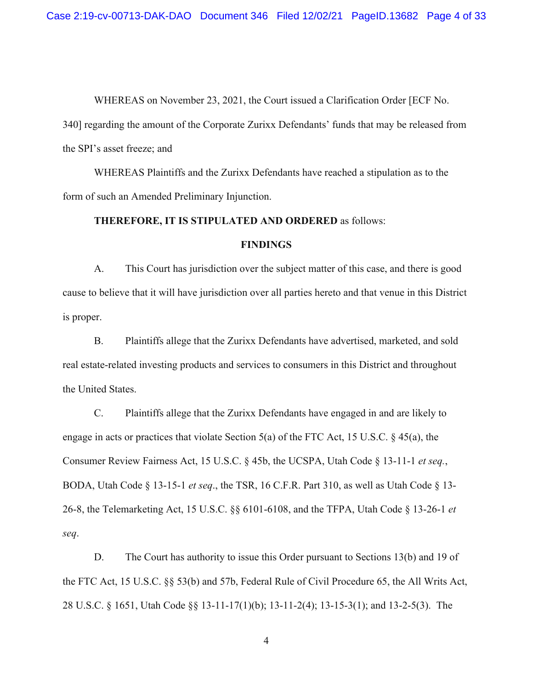WHEREAS on November 23, 2021, the Court issued a Clarification Order [ECF No.

340] regarding the amount of the Corporate Zurixx Defendants' funds that may be released from the SPI's asset freeze; and

WHEREAS Plaintiffs and the Zurixx Defendants have reached a stipulation as to the form of such an Amended Preliminary Injunction.

#### **THEREFORE, IT IS STIPULATED AND ORDERED** as follows:

### **FINDINGS**

A. This Court has jurisdiction over the subject matter of this case, and there is good cause to believe that it will have jurisdiction over all parties hereto and that venue in this District is proper.

B. Plaintiffs allege that the Zurixx Defendants have advertised, marketed, and sold real estate-related investing products and services to consumers in this District and throughout the United States.

C. Plaintiffs allege that the Zurixx Defendants have engaged in and are likely to engage in acts or practices that violate Section 5(a) of the FTC Act, 15 U.S.C.  $\S$  45(a), the Consumer Review Fairness Act, 15 U.S.C. § 45b, the UCSPA, Utah Code § 13-11-1 *et seq.*, BODA, Utah Code § 13-15-1 *et seq*., the TSR, 16 C.F.R. Part 310, as well as Utah Code § 13- 26-8, the Telemarketing Act, 15 U.S.C. §§ 6101-6108, and the TFPA, Utah Code § 13-26-1 *et seq*.

D. The Court has authority to issue this Order pursuant to Sections 13(b) and 19 of the FTC Act, 15 U.S.C. §§ 53(b) and 57b, Federal Rule of Civil Procedure 65, the All Writs Act, 28 U.S.C. § 1651, Utah Code §§ 13-11-17(1)(b); 13-11-2(4); 13-15-3(1); and 13-2-5(3). The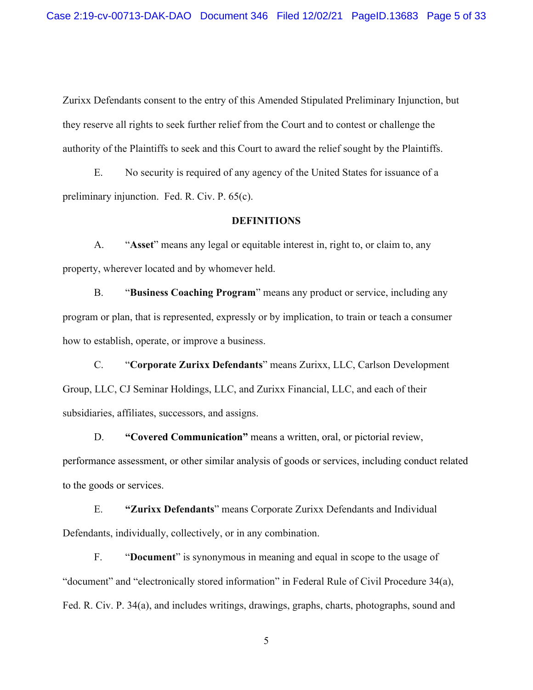Zurixx Defendants consent to the entry of this Amended Stipulated Preliminary Injunction, but they reserve all rights to seek further relief from the Court and to contest or challenge the authority of the Plaintiffs to seek and this Court to award the relief sought by the Plaintiffs.

E. No security is required of any agency of the United States for issuance of a preliminary injunction. Fed. R. Civ. P. 65(c).

## **DEFINITIONS**

A. "**Asset**" means any legal or equitable interest in, right to, or claim to, any property, wherever located and by whomever held.

B. "**Business Coaching Program**" means any product or service, including any program or plan, that is represented, expressly or by implication, to train or teach a consumer how to establish, operate, or improve a business.

C. "**Corporate Zurixx Defendants**" means Zurixx, LLC, Carlson Development Group, LLC, CJ Seminar Holdings, LLC, and Zurixx Financial, LLC, and each of their subsidiaries, affiliates, successors, and assigns.

D. **"Covered Communication"** means a written, oral, or pictorial review,

performance assessment, or other similar analysis of goods or services, including conduct related to the goods or services.

E. **"Zurixx Defendants**" means Corporate Zurixx Defendants and Individual Defendants, individually, collectively, or in any combination.

F. "**Document**" is synonymous in meaning and equal in scope to the usage of "document" and "electronically stored information" in Federal Rule of Civil Procedure 34(a), Fed. R. Civ. P. 34(a), and includes writings, drawings, graphs, charts, photographs, sound and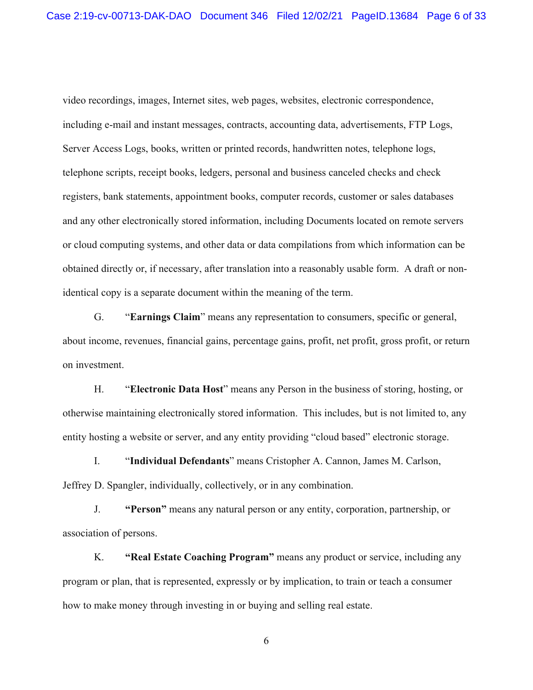video recordings, images, Internet sites, web pages, websites, electronic correspondence, including e-mail and instant messages, contracts, accounting data, advertisements, FTP Logs, Server Access Logs, books, written or printed records, handwritten notes, telephone logs, telephone scripts, receipt books, ledgers, personal and business canceled checks and check registers, bank statements, appointment books, computer records, customer or sales databases and any other electronically stored information, including Documents located on remote servers or cloud computing systems, and other data or data compilations from which information can be obtained directly or, if necessary, after translation into a reasonably usable form. A draft or nonidentical copy is a separate document within the meaning of the term.

G. "**Earnings Claim**" means any representation to consumers, specific or general, about income, revenues, financial gains, percentage gains, profit, net profit, gross profit, or return on investment.

H. "**Electronic Data Host**" means any Person in the business of storing, hosting, or otherwise maintaining electronically stored information. This includes, but is not limited to, any entity hosting a website or server, and any entity providing "cloud based" electronic storage.

I. "**Individual Defendants**" means Cristopher A. Cannon, James M. Carlson, Jeffrey D. Spangler, individually, collectively, or in any combination.

J. **"Person"** means any natural person or any entity, corporation, partnership, or association of persons.

K. **"Real Estate Coaching Program"** means any product or service, including any program or plan, that is represented, expressly or by implication, to train or teach a consumer how to make money through investing in or buying and selling real estate.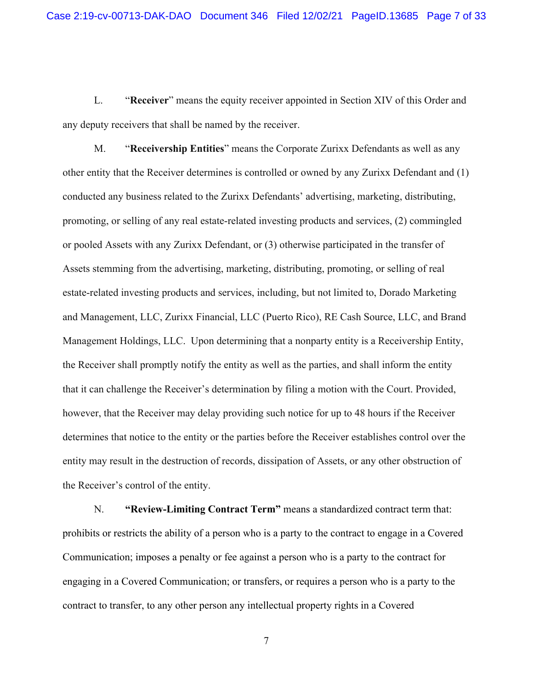L. "**Receiver**" means the equity receiver appointed in Section XIV of this Order and any deputy receivers that shall be named by the receiver.

M. "**Receivership Entities**" means the Corporate Zurixx Defendants as well as any other entity that the Receiver determines is controlled or owned by any Zurixx Defendant and (1) conducted any business related to the Zurixx Defendants' advertising, marketing, distributing, promoting, or selling of any real estate-related investing products and services, (2) commingled or pooled Assets with any Zurixx Defendant, or (3) otherwise participated in the transfer of Assets stemming from the advertising, marketing, distributing, promoting, or selling of real estate-related investing products and services, including, but not limited to, Dorado Marketing and Management, LLC, Zurixx Financial, LLC (Puerto Rico), RE Cash Source, LLC, and Brand Management Holdings, LLC. Upon determining that a nonparty entity is a Receivership Entity, the Receiver shall promptly notify the entity as well as the parties, and shall inform the entity that it can challenge the Receiver's determination by filing a motion with the Court. Provided, however, that the Receiver may delay providing such notice for up to 48 hours if the Receiver determines that notice to the entity or the parties before the Receiver establishes control over the entity may result in the destruction of records, dissipation of Assets, or any other obstruction of the Receiver's control of the entity.

N. **"Review-Limiting Contract Term"** means a standardized contract term that: prohibits or restricts the ability of a person who is a party to the contract to engage in a Covered Communication; imposes a penalty or fee against a person who is a party to the contract for engaging in a Covered Communication; or transfers, or requires a person who is a party to the contract to transfer, to any other person any intellectual property rights in a Covered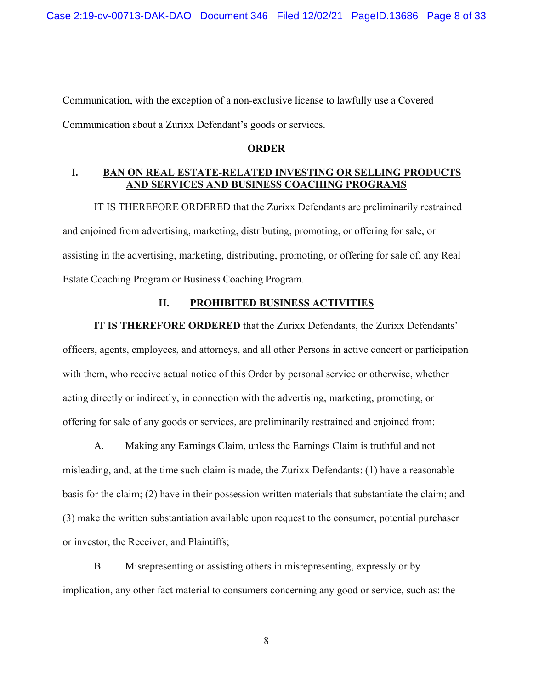Communication, with the exception of a non-exclusive license to lawfully use a Covered Communication about a Zurixx Defendant's goods or services.

## **ORDER**

## **I. BAN ON REAL ESTATE-RELATED INVESTING OR SELLING PRODUCTS AND SERVICES AND BUSINESS COACHING PROGRAMS**

IT IS THEREFORE ORDERED that the Zurixx Defendants are preliminarily restrained and enjoined from advertising, marketing, distributing, promoting, or offering for sale, or assisting in the advertising, marketing, distributing, promoting, or offering for sale of, any Real Estate Coaching Program or Business Coaching Program.

## **II. PROHIBITED BUSINESS ACTIVITIES**

**IT IS THEREFORE ORDERED** that the Zurixx Defendants, the Zurixx Defendants' officers, agents, employees, and attorneys, and all other Persons in active concert or participation with them, who receive actual notice of this Order by personal service or otherwise, whether acting directly or indirectly, in connection with the advertising, marketing, promoting, or offering for sale of any goods or services, are preliminarily restrained and enjoined from:

A. Making any Earnings Claim, unless the Earnings Claim is truthful and not misleading, and, at the time such claim is made, the Zurixx Defendants: (1) have a reasonable basis for the claim; (2) have in their possession written materials that substantiate the claim; and (3) make the written substantiation available upon request to the consumer, potential purchaser or investor, the Receiver, and Plaintiffs;

B. Misrepresenting or assisting others in misrepresenting, expressly or by implication, any other fact material to consumers concerning any good or service, such as: the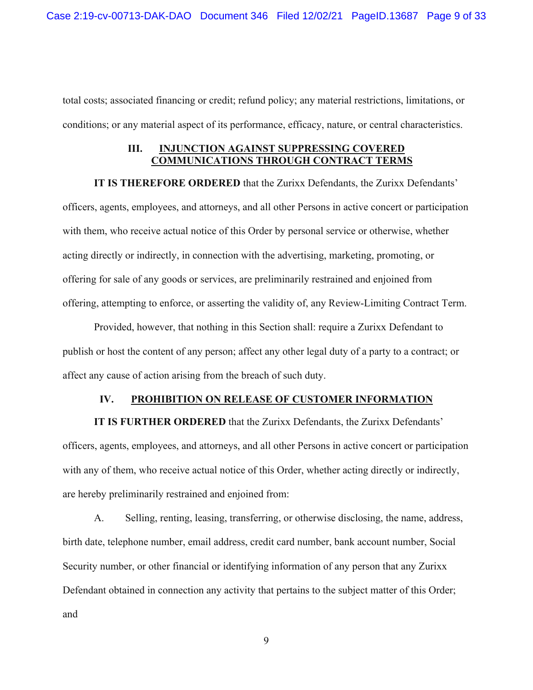total costs; associated financing or credit; refund policy; any material restrictions, limitations, or conditions; or any material aspect of its performance, efficacy, nature, or central characteristics.

## **III. INJUNCTION AGAINST SUPPRESSING COVERED COMMUNICATIONS THROUGH CONTRACT TERMS**

**IT IS THEREFORE ORDERED** that the Zurixx Defendants, the Zurixx Defendants' officers, agents, employees, and attorneys, and all other Persons in active concert or participation with them, who receive actual notice of this Order by personal service or otherwise, whether acting directly or indirectly, in connection with the advertising, marketing, promoting, or offering for sale of any goods or services, are preliminarily restrained and enjoined from offering, attempting to enforce, or asserting the validity of, any Review-Limiting Contract Term.

Provided, however, that nothing in this Section shall: require a Zurixx Defendant to publish or host the content of any person; affect any other legal duty of a party to a contract; or affect any cause of action arising from the breach of such duty.

## **IV. PROHIBITION ON RELEASE OF CUSTOMER INFORMATION**

**IT IS FURTHER ORDERED** that the Zurixx Defendants, the Zurixx Defendants' officers, agents, employees, and attorneys, and all other Persons in active concert or participation with any of them, who receive actual notice of this Order, whether acting directly or indirectly, are hereby preliminarily restrained and enjoined from:

A. Selling, renting, leasing, transferring, or otherwise disclosing, the name, address, birth date, telephone number, email address, credit card number, bank account number, Social Security number, or other financial or identifying information of any person that any Zurixx Defendant obtained in connection any activity that pertains to the subject matter of this Order; and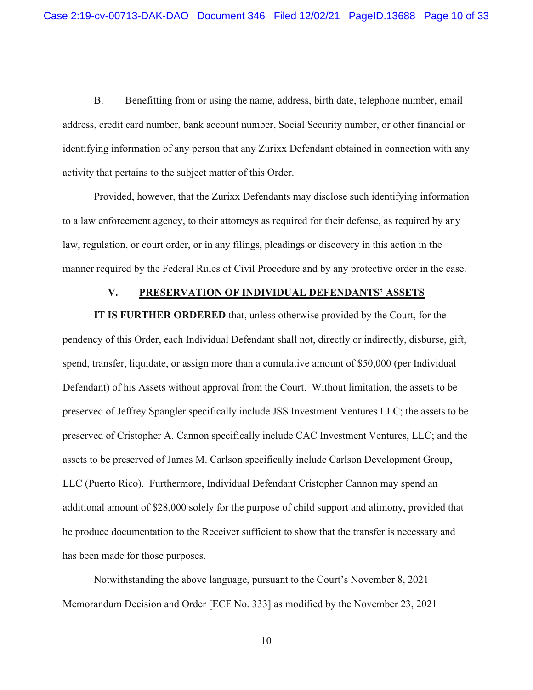B. Benefitting from or using the name, address, birth date, telephone number, email address, credit card number, bank account number, Social Security number, or other financial or identifying information of any person that any Zurixx Defendant obtained in connection with any activity that pertains to the subject matter of this Order.

Provided, however, that the Zurixx Defendants may disclose such identifying information to a law enforcement agency, to their attorneys as required for their defense, as required by any law, regulation, or court order, or in any filings, pleadings or discovery in this action in the manner required by the Federal Rules of Civil Procedure and by any protective order in the case.

## **V. PRESERVATION OF INDIVIDUAL DEFENDANTS' ASSETS**

**IT IS FURTHER ORDERED** that, unless otherwise provided by the Court, for the pendency of this Order, each Individual Defendant shall not, directly or indirectly, disburse, gift, spend, transfer, liquidate, or assign more than a cumulative amount of \$50,000 (per Individual Defendant) of his Assets without approval from the Court. Without limitation, the assets to be preserved of Jeffrey Spangler specifically include JSS Investment Ventures LLC; the assets to be preserved of Cristopher A. Cannon specifically include CAC Investment Ventures, LLC; and the assets to be preserved of James M. Carlson specifically include Carlson Development Group, LLC (Puerto Rico). Furthermore, Individual Defendant Cristopher Cannon may spend an additional amount of \$28,000 solely for the purpose of child support and alimony, provided that he produce documentation to the Receiver sufficient to show that the transfer is necessary and has been made for those purposes.

Notwithstanding the above language, pursuant to the Court's November 8, 2021 Memorandum Decision and Order [ECF No. 333] as modified by the November 23, 2021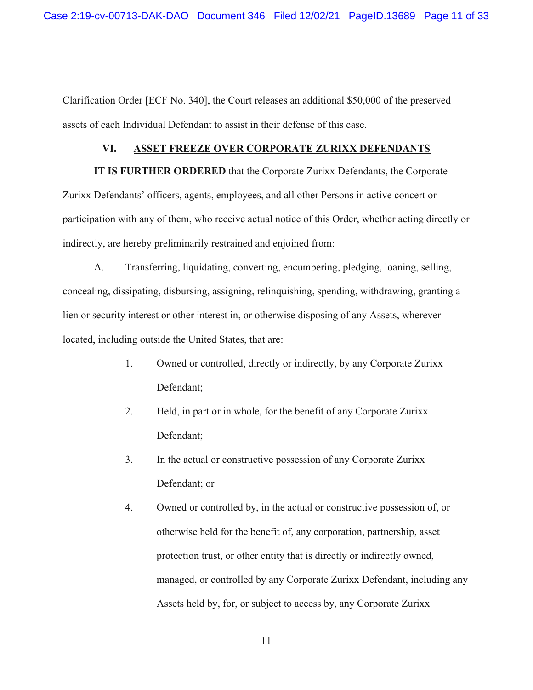Clarification Order [ECF No. 340], the Court releases an additional \$50,000 of the preserved assets of each Individual Defendant to assist in their defense of this case.

#### **VI. ASSET FREEZE OVER CORPORATE ZURIXX DEFENDANTS**

**IT IS FURTHER ORDERED** that the Corporate Zurixx Defendants, the Corporate Zurixx Defendants' officers, agents, employees, and all other Persons in active concert or participation with any of them, who receive actual notice of this Order, whether acting directly or indirectly, are hereby preliminarily restrained and enjoined from:

A. Transferring, liquidating, converting, encumbering, pledging, loaning, selling, concealing, dissipating, disbursing, assigning, relinquishing, spending, withdrawing, granting a lien or security interest or other interest in, or otherwise disposing of any Assets, wherever located, including outside the United States, that are:

- 1. Owned or controlled, directly or indirectly, by any Corporate Zurixx Defendant;
- 2. Held, in part or in whole, for the benefit of any Corporate Zurixx Defendant;
- 3. In the actual or constructive possession of any Corporate Zurixx Defendant; or
- 4. Owned or controlled by, in the actual or constructive possession of, or otherwise held for the benefit of, any corporation, partnership, asset protection trust, or other entity that is directly or indirectly owned, managed, or controlled by any Corporate Zurixx Defendant, including any Assets held by, for, or subject to access by, any Corporate Zurixx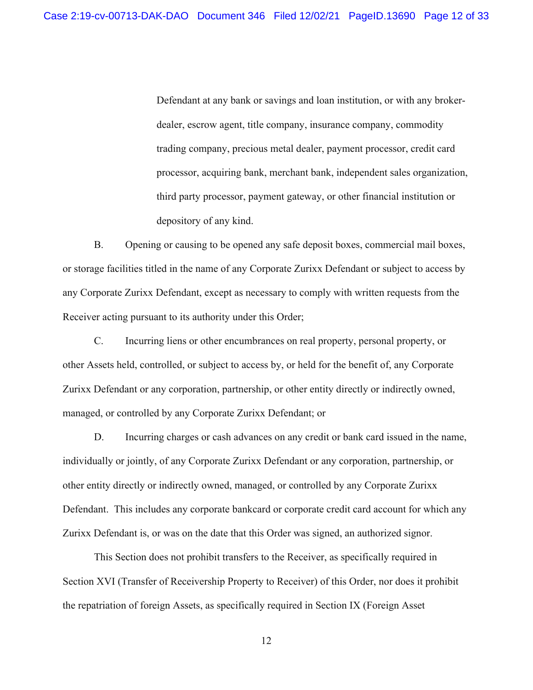Defendant at any bank or savings and loan institution, or with any brokerdealer, escrow agent, title company, insurance company, commodity trading company, precious metal dealer, payment processor, credit card processor, acquiring bank, merchant bank, independent sales organization, third party processor, payment gateway, or other financial institution or depository of any kind.

B. Opening or causing to be opened any safe deposit boxes, commercial mail boxes, or storage facilities titled in the name of any Corporate Zurixx Defendant or subject to access by any Corporate Zurixx Defendant, except as necessary to comply with written requests from the Receiver acting pursuant to its authority under this Order;

C. Incurring liens or other encumbrances on real property, personal property, or other Assets held, controlled, or subject to access by, or held for the benefit of, any Corporate Zurixx Defendant or any corporation, partnership, or other entity directly or indirectly owned, managed, or controlled by any Corporate Zurixx Defendant; or

D. Incurring charges or cash advances on any credit or bank card issued in the name, individually or jointly, of any Corporate Zurixx Defendant or any corporation, partnership, or other entity directly or indirectly owned, managed, or controlled by any Corporate Zurixx Defendant. This includes any corporate bankcard or corporate credit card account for which any Zurixx Defendant is, or was on the date that this Order was signed, an authorized signor.

 This Section does not prohibit transfers to the Receiver, as specifically required in Section XVI (Transfer of Receivership Property to Receiver) of this Order, nor does it prohibit the repatriation of foreign Assets, as specifically required in Section IX (Foreign Asset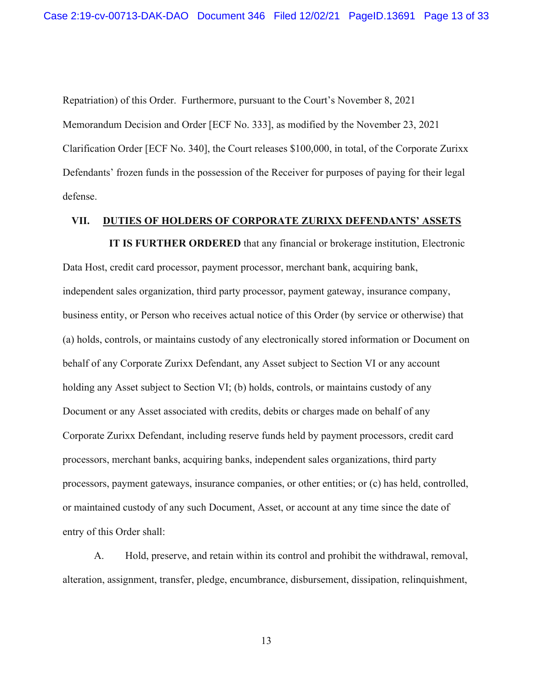Repatriation) of this Order. Furthermore, pursuant to the Court's November 8, 2021 Memorandum Decision and Order [ECF No. 333], as modified by the November 23, 2021 Clarification Order [ECF No. 340], the Court releases \$100,000, in total, of the Corporate Zurixx Defendants' frozen funds in the possession of the Receiver for purposes of paying for their legal defense.

# **VII. DUTIES OF HOLDERS OF CORPORATE ZURIXX DEFENDANTS' ASSETS**

**IT IS FURTHER ORDERED** that any financial or brokerage institution, Electronic Data Host, credit card processor, payment processor, merchant bank, acquiring bank, independent sales organization, third party processor, payment gateway, insurance company, business entity, or Person who receives actual notice of this Order (by service or otherwise) that (a) holds, controls, or maintains custody of any electronically stored information or Document on behalf of any Corporate Zurixx Defendant, any Asset subject to Section VI or any account holding any Asset subject to Section VI; (b) holds, controls, or maintains custody of any Document or any Asset associated with credits, debits or charges made on behalf of any Corporate Zurixx Defendant, including reserve funds held by payment processors, credit card processors, merchant banks, acquiring banks, independent sales organizations, third party processors, payment gateways, insurance companies, or other entities; or (c) has held, controlled, or maintained custody of any such Document, Asset, or account at any time since the date of entry of this Order shall:

A. Hold, preserve, and retain within its control and prohibit the withdrawal, removal, alteration, assignment, transfer, pledge, encumbrance, disbursement, dissipation, relinquishment,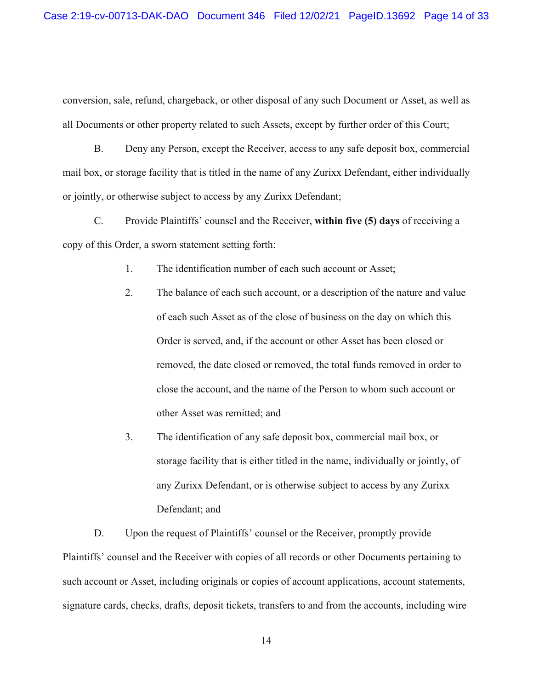conversion, sale, refund, chargeback, or other disposal of any such Document or Asset, as well as all Documents or other property related to such Assets, except by further order of this Court;

B. Deny any Person, except the Receiver, access to any safe deposit box, commercial mail box, or storage facility that is titled in the name of any Zurixx Defendant, either individually or jointly, or otherwise subject to access by any Zurixx Defendant;

C. Provide Plaintiffs' counsel and the Receiver, **within five (5) days** of receiving a copy of this Order, a sworn statement setting forth:

1. The identification number of each such account or Asset;

- 2. The balance of each such account, or a description of the nature and value of each such Asset as of the close of business on the day on which this Order is served, and, if the account or other Asset has been closed or removed, the date closed or removed, the total funds removed in order to close the account, and the name of the Person to whom such account or other Asset was remitted; and
- 3. The identification of any safe deposit box, commercial mail box, or storage facility that is either titled in the name, individually or jointly, of any Zurixx Defendant, or is otherwise subject to access by any Zurixx Defendant; and

D. Upon the request of Plaintiffs' counsel or the Receiver, promptly provide Plaintiffs' counsel and the Receiver with copies of all records or other Documents pertaining to such account or Asset, including originals or copies of account applications, account statements, signature cards, checks, drafts, deposit tickets, transfers to and from the accounts, including wire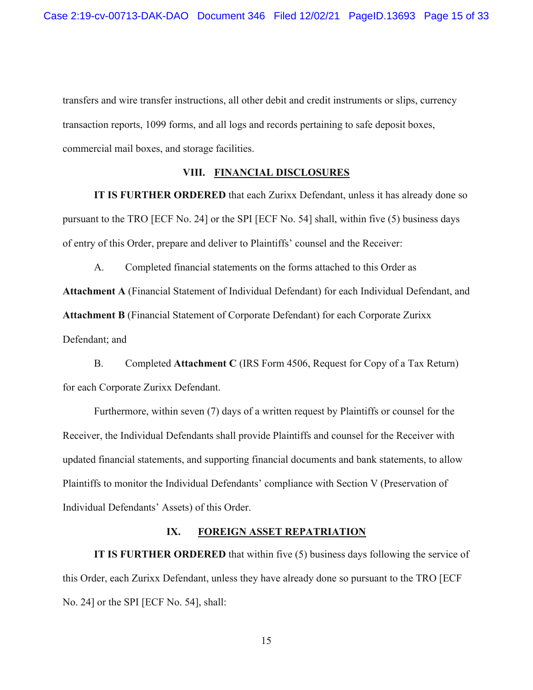transfers and wire transfer instructions, all other debit and credit instruments or slips, currency transaction reports, 1099 forms, and all logs and records pertaining to safe deposit boxes, commercial mail boxes, and storage facilities.

## **VIII. FINANCIAL DISCLOSURES**

**IT IS FURTHER ORDERED** that each Zurixx Defendant, unless it has already done so pursuant to the TRO [ECF No. 24] or the SPI [ECF No. 54] shall, within five (5) business days of entry of this Order, prepare and deliver to Plaintiffs' counsel and the Receiver:

A. Completed financial statements on the forms attached to this Order as **Attachment A** (Financial Statement of Individual Defendant) for each Individual Defendant, and **Attachment B** (Financial Statement of Corporate Defendant) for each Corporate Zurixx Defendant; and

B. Completed **Attachment C** (IRS Form 4506, Request for Copy of a Tax Return) for each Corporate Zurixx Defendant.

Furthermore, within seven (7) days of a written request by Plaintiffs or counsel for the Receiver, the Individual Defendants shall provide Plaintiffs and counsel for the Receiver with updated financial statements, and supporting financial documents and bank statements, to allow Plaintiffs to monitor the Individual Defendants' compliance with Section V (Preservation of Individual Defendants' Assets) of this Order.

## **IX. FOREIGN ASSET REPATRIATION**

**IT IS FURTHER ORDERED** that within five (5) business days following the service of this Order, each Zurixx Defendant, unless they have already done so pursuant to the TRO [ECF No. 24] or the SPI [ECF No. 54], shall: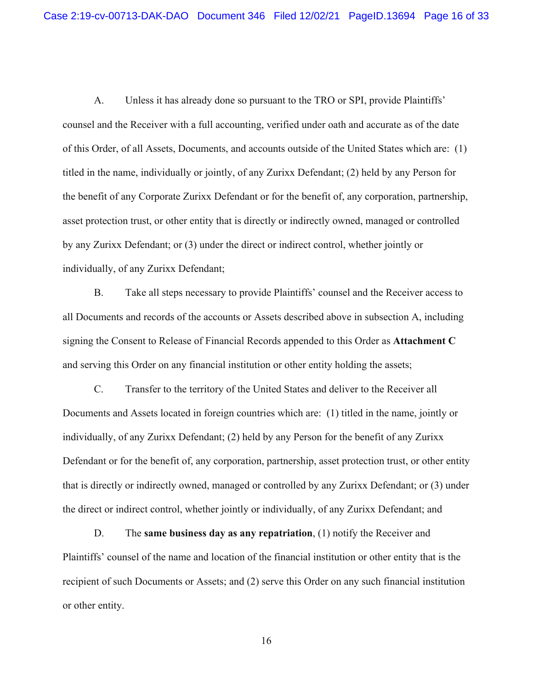A. Unless it has already done so pursuant to the TRO or SPI, provide Plaintiffs' counsel and the Receiver with a full accounting, verified under oath and accurate as of the date of this Order, of all Assets, Documents, and accounts outside of the United States which are: (1) titled in the name, individually or jointly, of any Zurixx Defendant; (2) held by any Person for the benefit of any Corporate Zurixx Defendant or for the benefit of, any corporation, partnership, asset protection trust, or other entity that is directly or indirectly owned, managed or controlled by any Zurixx Defendant; or (3) under the direct or indirect control, whether jointly or individually, of any Zurixx Defendant;

B. Take all steps necessary to provide Plaintiffs' counsel and the Receiver access to all Documents and records of the accounts or Assets described above in subsection A, including signing the Consent to Release of Financial Records appended to this Order as **Attachment C**  and serving this Order on any financial institution or other entity holding the assets;

C. Transfer to the territory of the United States and deliver to the Receiver all Documents and Assets located in foreign countries which are: (1) titled in the name, jointly or individually, of any Zurixx Defendant; (2) held by any Person for the benefit of any Zurixx Defendant or for the benefit of, any corporation, partnership, asset protection trust, or other entity that is directly or indirectly owned, managed or controlled by any Zurixx Defendant; or (3) under the direct or indirect control, whether jointly or individually, of any Zurixx Defendant; and

D. The **same business day as any repatriation**, (1) notify the Receiver and Plaintiffs' counsel of the name and location of the financial institution or other entity that is the recipient of such Documents or Assets; and (2) serve this Order on any such financial institution or other entity.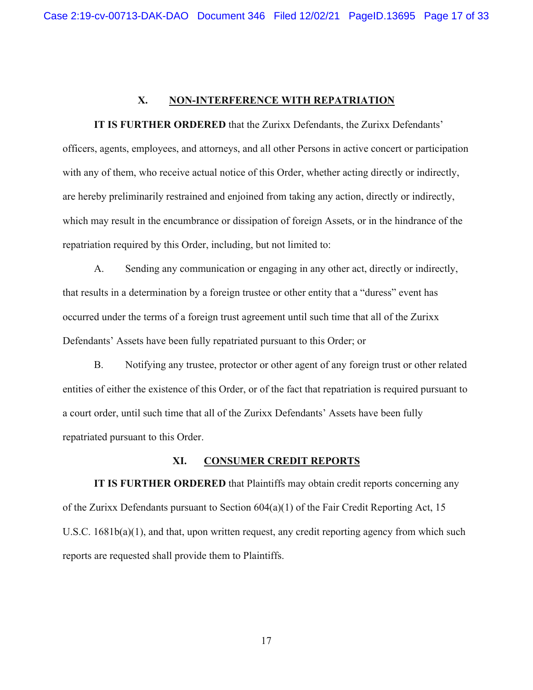## **X. NON-INTERFERENCE WITH REPATRIATION**

**IT IS FURTHER ORDERED** that the Zurixx Defendants, the Zurixx Defendants' officers, agents, employees, and attorneys, and all other Persons in active concert or participation with any of them, who receive actual notice of this Order, whether acting directly or indirectly, are hereby preliminarily restrained and enjoined from taking any action, directly or indirectly, which may result in the encumbrance or dissipation of foreign Assets, or in the hindrance of the repatriation required by this Order, including, but not limited to:

A. Sending any communication or engaging in any other act, directly or indirectly, that results in a determination by a foreign trustee or other entity that a "duress" event has occurred under the terms of a foreign trust agreement until such time that all of the Zurixx Defendants' Assets have been fully repatriated pursuant to this Order; or

B. Notifying any trustee, protector or other agent of any foreign trust or other related entities of either the existence of this Order, or of the fact that repatriation is required pursuant to a court order, until such time that all of the Zurixx Defendants' Assets have been fully repatriated pursuant to this Order.

## **XI. CONSUMER CREDIT REPORTS**

**IT IS FURTHER ORDERED** that Plaintiffs may obtain credit reports concerning any of the Zurixx Defendants pursuant to Section 604(a)(1) of the Fair Credit Reporting Act, 15 U.S.C. 1681b(a)(1), and that, upon written request, any credit reporting agency from which such reports are requested shall provide them to Plaintiffs.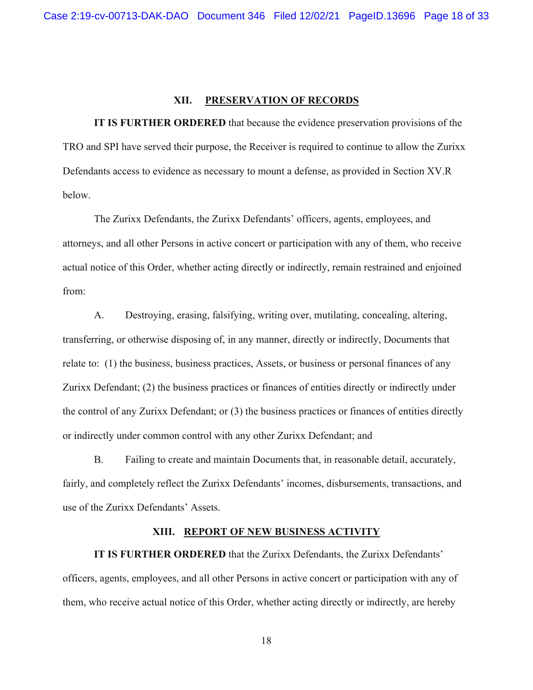## **XII. PRESERVATION OF RECORDS**

**IT IS FURTHER ORDERED** that because the evidence preservation provisions of the TRO and SPI have served their purpose, the Receiver is required to continue to allow the Zurixx Defendants access to evidence as necessary to mount a defense, as provided in Section XV.R below.

The Zurixx Defendants, the Zurixx Defendants' officers, agents, employees, and attorneys, and all other Persons in active concert or participation with any of them, who receive actual notice of this Order, whether acting directly or indirectly, remain restrained and enjoined from:

A. Destroying, erasing, falsifying, writing over, mutilating, concealing, altering, transferring, or otherwise disposing of, in any manner, directly or indirectly, Documents that relate to: (1) the business, business practices, Assets, or business or personal finances of any Zurixx Defendant; (2) the business practices or finances of entities directly or indirectly under the control of any Zurixx Defendant; or (3) the business practices or finances of entities directly or indirectly under common control with any other Zurixx Defendant; and

B. Failing to create and maintain Documents that, in reasonable detail, accurately, fairly, and completely reflect the Zurixx Defendants' incomes, disbursements, transactions, and use of the Zurixx Defendants' Assets.

## **XIII. REPORT OF NEW BUSINESS ACTIVITY**

**IT IS FURTHER ORDERED** that the Zurixx Defendants, the Zurixx Defendants' officers, agents, employees, and all other Persons in active concert or participation with any of them, who receive actual notice of this Order, whether acting directly or indirectly, are hereby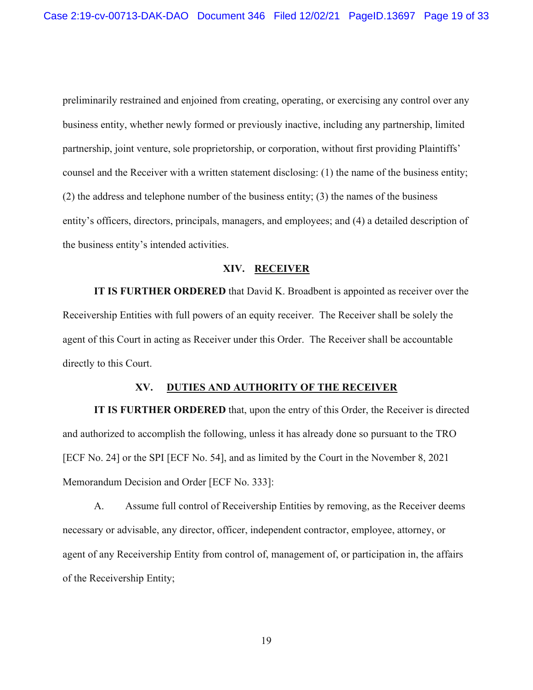preliminarily restrained and enjoined from creating, operating, or exercising any control over any business entity, whether newly formed or previously inactive, including any partnership, limited partnership, joint venture, sole proprietorship, or corporation, without first providing Plaintiffs' counsel and the Receiver with a written statement disclosing: (1) the name of the business entity; (2) the address and telephone number of the business entity; (3) the names of the business entity's officers, directors, principals, managers, and employees; and (4) a detailed description of the business entity's intended activities.

#### **XIV. RECEIVER**

**IT IS FURTHER ORDERED** that David K. Broadbent is appointed as receiver over the Receivership Entities with full powers of an equity receiver. The Receiver shall be solely the agent of this Court in acting as Receiver under this Order. The Receiver shall be accountable directly to this Court.

#### **XV. DUTIES AND AUTHORITY OF THE RECEIVER**

**IT IS FURTHER ORDERED** that, upon the entry of this Order, the Receiver is directed and authorized to accomplish the following, unless it has already done so pursuant to the TRO [ECF No. 24] or the SPI [ECF No. 54], and as limited by the Court in the November 8, 2021 Memorandum Decision and Order [ECF No. 333]:

A. Assume full control of Receivership Entities by removing, as the Receiver deems necessary or advisable, any director, officer, independent contractor, employee, attorney, or agent of any Receivership Entity from control of, management of, or participation in, the affairs of the Receivership Entity;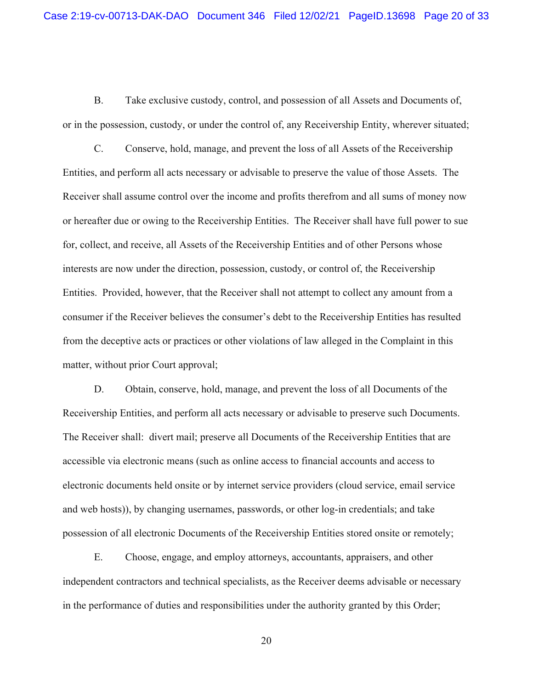B. Take exclusive custody, control, and possession of all Assets and Documents of, or in the possession, custody, or under the control of, any Receivership Entity, wherever situated;

C. Conserve, hold, manage, and prevent the loss of all Assets of the Receivership Entities, and perform all acts necessary or advisable to preserve the value of those Assets. The Receiver shall assume control over the income and profits therefrom and all sums of money now or hereafter due or owing to the Receivership Entities. The Receiver shall have full power to sue for, collect, and receive, all Assets of the Receivership Entities and of other Persons whose interests are now under the direction, possession, custody, or control of, the Receivership Entities. Provided, however, that the Receiver shall not attempt to collect any amount from a consumer if the Receiver believes the consumer's debt to the Receivership Entities has resulted from the deceptive acts or practices or other violations of law alleged in the Complaint in this matter, without prior Court approval;

D. Obtain, conserve, hold, manage, and prevent the loss of all Documents of the Receivership Entities, and perform all acts necessary or advisable to preserve such Documents. The Receiver shall: divert mail; preserve all Documents of the Receivership Entities that are accessible via electronic means (such as online access to financial accounts and access to electronic documents held onsite or by internet service providers (cloud service, email service and web hosts)), by changing usernames, passwords, or other log-in credentials; and take possession of all electronic Documents of the Receivership Entities stored onsite or remotely;

E. Choose, engage, and employ attorneys, accountants, appraisers, and other independent contractors and technical specialists, as the Receiver deems advisable or necessary in the performance of duties and responsibilities under the authority granted by this Order;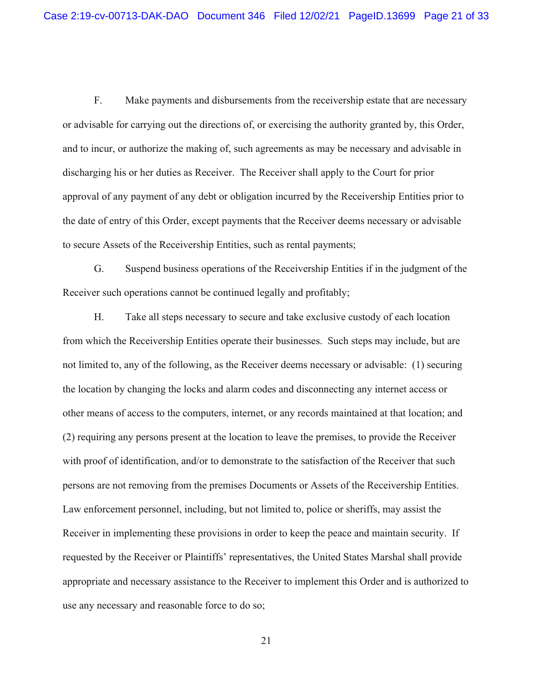F. Make payments and disbursements from the receivership estate that are necessary or advisable for carrying out the directions of, or exercising the authority granted by, this Order, and to incur, or authorize the making of, such agreements as may be necessary and advisable in discharging his or her duties as Receiver. The Receiver shall apply to the Court for prior approval of any payment of any debt or obligation incurred by the Receivership Entities prior to the date of entry of this Order, except payments that the Receiver deems necessary or advisable to secure Assets of the Receivership Entities, such as rental payments;

G. Suspend business operations of the Receivership Entities if in the judgment of the Receiver such operations cannot be continued legally and profitably;

H. Take all steps necessary to secure and take exclusive custody of each location from which the Receivership Entities operate their businesses. Such steps may include, but are not limited to, any of the following, as the Receiver deems necessary or advisable: (1) securing the location by changing the locks and alarm codes and disconnecting any internet access or other means of access to the computers, internet, or any records maintained at that location; and (2) requiring any persons present at the location to leave the premises, to provide the Receiver with proof of identification, and/or to demonstrate to the satisfaction of the Receiver that such persons are not removing from the premises Documents or Assets of the Receivership Entities. Law enforcement personnel, including, but not limited to, police or sheriffs, may assist the Receiver in implementing these provisions in order to keep the peace and maintain security. If requested by the Receiver or Plaintiffs' representatives, the United States Marshal shall provide appropriate and necessary assistance to the Receiver to implement this Order and is authorized to use any necessary and reasonable force to do so;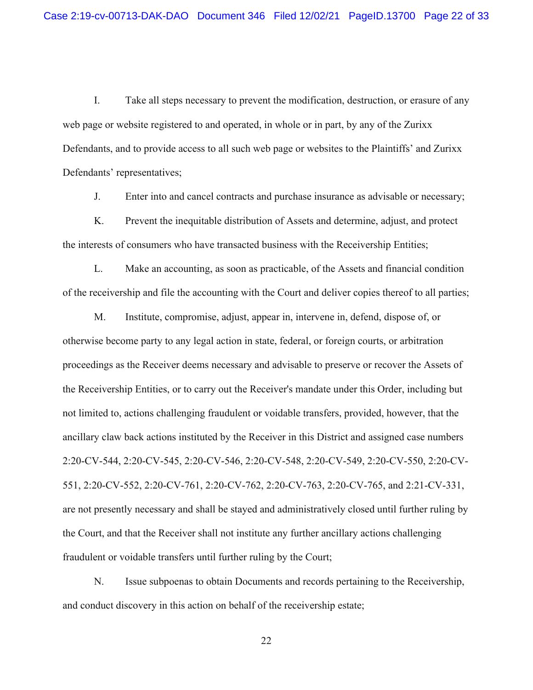I. Take all steps necessary to prevent the modification, destruction, or erasure of any web page or website registered to and operated, in whole or in part, by any of the Zurixx Defendants, and to provide access to all such web page or websites to the Plaintiffs' and Zurixx Defendants' representatives;

J. Enter into and cancel contracts and purchase insurance as advisable or necessary;

K. Prevent the inequitable distribution of Assets and determine, adjust, and protect the interests of consumers who have transacted business with the Receivership Entities;

L. Make an accounting, as soon as practicable, of the Assets and financial condition of the receivership and file the accounting with the Court and deliver copies thereof to all parties;

M. Institute, compromise, adjust, appear in, intervene in, defend, dispose of, or otherwise become party to any legal action in state, federal, or foreign courts, or arbitration proceedings as the Receiver deems necessary and advisable to preserve or recover the Assets of the Receivership Entities, or to carry out the Receiver's mandate under this Order, including but not limited to, actions challenging fraudulent or voidable transfers, provided, however, that the ancillary claw back actions instituted by the Receiver in this District and assigned case numbers 2:20-CV-544, 2:20-CV-545, 2:20-CV-546, 2:20-CV-548, 2:20-CV-549, 2:20-CV-550, 2:20-CV-551, 2:20-CV-552, 2:20-CV-761, 2:20-CV-762, 2:20-CV-763, 2:20-CV-765, and 2:21-CV-331, are not presently necessary and shall be stayed and administratively closed until further ruling by the Court, and that the Receiver shall not institute any further ancillary actions challenging fraudulent or voidable transfers until further ruling by the Court;

N. Issue subpoenas to obtain Documents and records pertaining to the Receivership, and conduct discovery in this action on behalf of the receivership estate;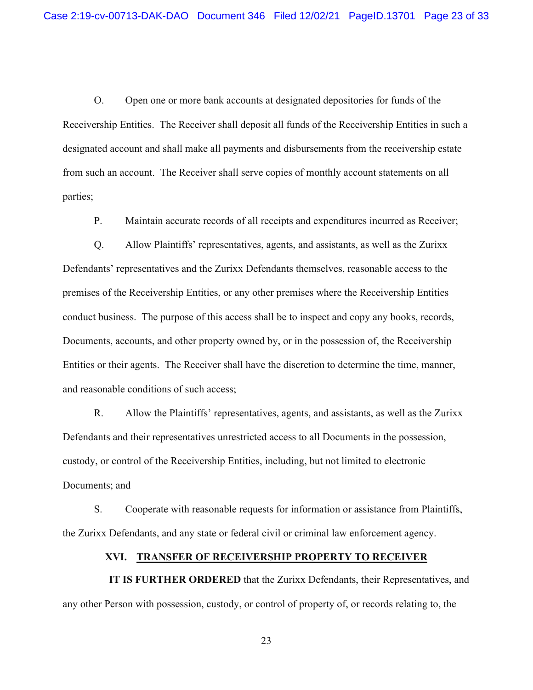O. Open one or more bank accounts at designated depositories for funds of the Receivership Entities. The Receiver shall deposit all funds of the Receivership Entities in such a designated account and shall make all payments and disbursements from the receivership estate from such an account. The Receiver shall serve copies of monthly account statements on all parties;

P. Maintain accurate records of all receipts and expenditures incurred as Receiver;

Q. Allow Plaintiffs' representatives, agents, and assistants, as well as the Zurixx Defendants' representatives and the Zurixx Defendants themselves, reasonable access to the premises of the Receivership Entities, or any other premises where the Receivership Entities conduct business. The purpose of this access shall be to inspect and copy any books, records, Documents, accounts, and other property owned by, or in the possession of, the Receivership Entities or their agents. The Receiver shall have the discretion to determine the time, manner, and reasonable conditions of such access;

R. Allow the Plaintiffs' representatives, agents, and assistants, as well as the Zurixx Defendants and their representatives unrestricted access to all Documents in the possession, custody, or control of the Receivership Entities, including, but not limited to electronic Documents; and

S. Cooperate with reasonable requests for information or assistance from Plaintiffs, the Zurixx Defendants, and any state or federal civil or criminal law enforcement agency.

#### **XVI. TRANSFER OF RECEIVERSHIP PROPERTY TO RECEIVER**

 **IT IS FURTHER ORDERED** that the Zurixx Defendants, their Representatives, and any other Person with possession, custody, or control of property of, or records relating to, the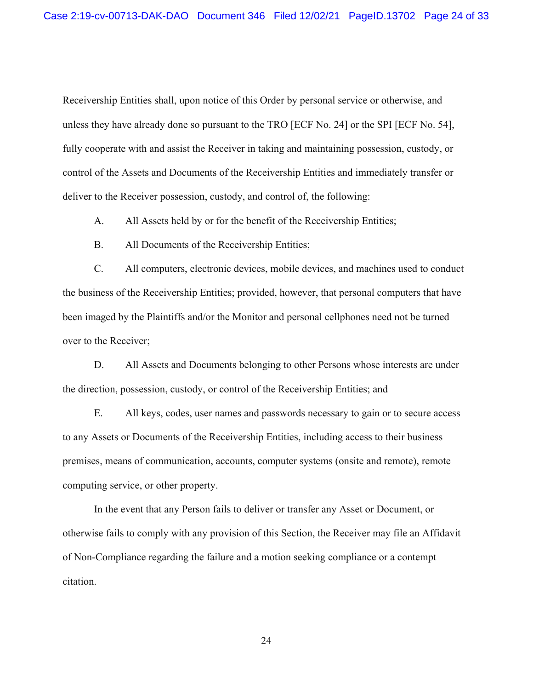Receivership Entities shall, upon notice of this Order by personal service or otherwise, and unless they have already done so pursuant to the TRO [ECF No. 24] or the SPI [ECF No. 54], fully cooperate with and assist the Receiver in taking and maintaining possession, custody, or control of the Assets and Documents of the Receivership Entities and immediately transfer or deliver to the Receiver possession, custody, and control of, the following:

A. All Assets held by or for the benefit of the Receivership Entities;

B. All Documents of the Receivership Entities;

C. All computers, electronic devices, mobile devices, and machines used to conduct the business of the Receivership Entities; provided, however, that personal computers that have been imaged by the Plaintiffs and/or the Monitor and personal cellphones need not be turned over to the Receiver;

D. All Assets and Documents belonging to other Persons whose interests are under the direction, possession, custody, or control of the Receivership Entities; and

E. All keys, codes, user names and passwords necessary to gain or to secure access to any Assets or Documents of the Receivership Entities, including access to their business premises, means of communication, accounts, computer systems (onsite and remote), remote computing service, or other property.

In the event that any Person fails to deliver or transfer any Asset or Document, or otherwise fails to comply with any provision of this Section, the Receiver may file an Affidavit of Non-Compliance regarding the failure and a motion seeking compliance or a contempt citation.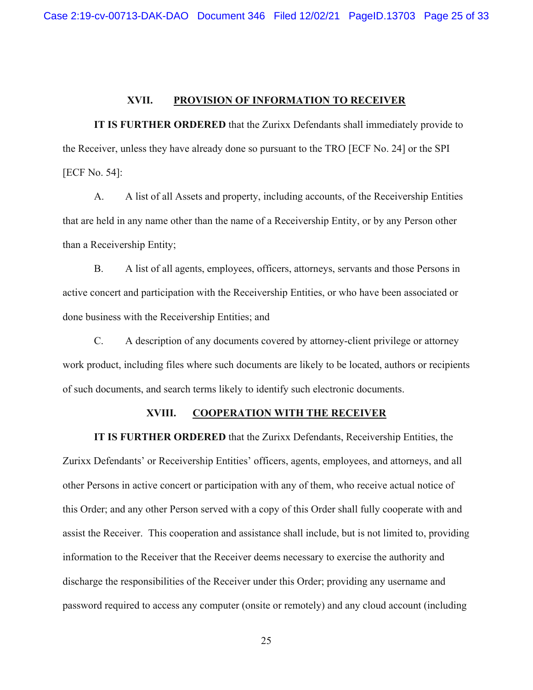## **XVII. PROVISION OF INFORMATION TO RECEIVER**

**IT IS FURTHER ORDERED** that the Zurixx Defendants shall immediately provide to the Receiver, unless they have already done so pursuant to the TRO [ECF No. 24] or the SPI [ECF No. 54]:

A. A list of all Assets and property, including accounts, of the Receivership Entities that are held in any name other than the name of a Receivership Entity, or by any Person other than a Receivership Entity;

B. A list of all agents, employees, officers, attorneys, servants and those Persons in active concert and participation with the Receivership Entities, or who have been associated or done business with the Receivership Entities; and

C. A description of any documents covered by attorney-client privilege or attorney work product, including files where such documents are likely to be located, authors or recipients of such documents, and search terms likely to identify such electronic documents.

## **XVIII. COOPERATION WITH THE RECEIVER**

**IT IS FURTHER ORDERED** that the Zurixx Defendants, Receivership Entities, the Zurixx Defendants' or Receivership Entities' officers, agents, employees, and attorneys, and all other Persons in active concert or participation with any of them, who receive actual notice of this Order; and any other Person served with a copy of this Order shall fully cooperate with and assist the Receiver. This cooperation and assistance shall include, but is not limited to, providing information to the Receiver that the Receiver deems necessary to exercise the authority and discharge the responsibilities of the Receiver under this Order; providing any username and password required to access any computer (onsite or remotely) and any cloud account (including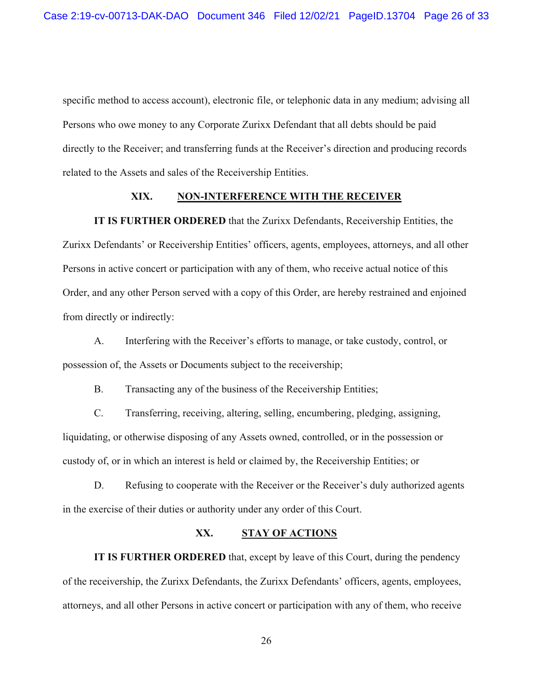specific method to access account), electronic file, or telephonic data in any medium; advising all Persons who owe money to any Corporate Zurixx Defendant that all debts should be paid directly to the Receiver; and transferring funds at the Receiver's direction and producing records related to the Assets and sales of the Receivership Entities.

## **XIX. NON-INTERFERENCE WITH THE RECEIVER**

**IT IS FURTHER ORDERED** that the Zurixx Defendants, Receivership Entities, the

Zurixx Defendants' or Receivership Entities' officers, agents, employees, attorneys, and all other Persons in active concert or participation with any of them, who receive actual notice of this Order, and any other Person served with a copy of this Order, are hereby restrained and enjoined from directly or indirectly:

A. Interfering with the Receiver's efforts to manage, or take custody, control, or possession of, the Assets or Documents subject to the receivership;

B. Transacting any of the business of the Receivership Entities;

C. Transferring, receiving, altering, selling, encumbering, pledging, assigning, liquidating, or otherwise disposing of any Assets owned, controlled, or in the possession or custody of, or in which an interest is held or claimed by, the Receivership Entities; or

D. Refusing to cooperate with the Receiver or the Receiver's duly authorized agents in the exercise of their duties or authority under any order of this Court.

## **XX. STAY OF ACTIONS**

**IT IS FURTHER ORDERED** that, except by leave of this Court, during the pendency of the receivership, the Zurixx Defendants, the Zurixx Defendants' officers, agents, employees, attorneys, and all other Persons in active concert or participation with any of them, who receive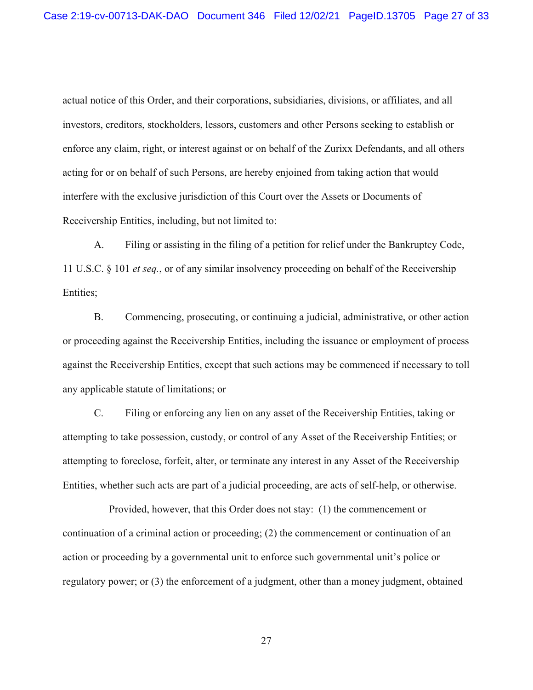actual notice of this Order, and their corporations, subsidiaries, divisions, or affiliates, and all investors, creditors, stockholders, lessors, customers and other Persons seeking to establish or enforce any claim, right, or interest against or on behalf of the Zurixx Defendants, and all others acting for or on behalf of such Persons, are hereby enjoined from taking action that would interfere with the exclusive jurisdiction of this Court over the Assets or Documents of Receivership Entities, including, but not limited to:

A. Filing or assisting in the filing of a petition for relief under the Bankruptcy Code, 11 U.S.C. § 101 *et seq.*, or of any similar insolvency proceeding on behalf of the Receivership Entities;

B. Commencing, prosecuting, or continuing a judicial, administrative, or other action or proceeding against the Receivership Entities, including the issuance or employment of process against the Receivership Entities, except that such actions may be commenced if necessary to toll any applicable statute of limitations; or

C. Filing or enforcing any lien on any asset of the Receivership Entities, taking or attempting to take possession, custody, or control of any Asset of the Receivership Entities; or attempting to foreclose, forfeit, alter, or terminate any interest in any Asset of the Receivership Entities, whether such acts are part of a judicial proceeding, are acts of self-help, or otherwise.

Provided, however, that this Order does not stay: (1) the commencement or continuation of a criminal action or proceeding; (2) the commencement or continuation of an action or proceeding by a governmental unit to enforce such governmental unit's police or regulatory power; or (3) the enforcement of a judgment, other than a money judgment, obtained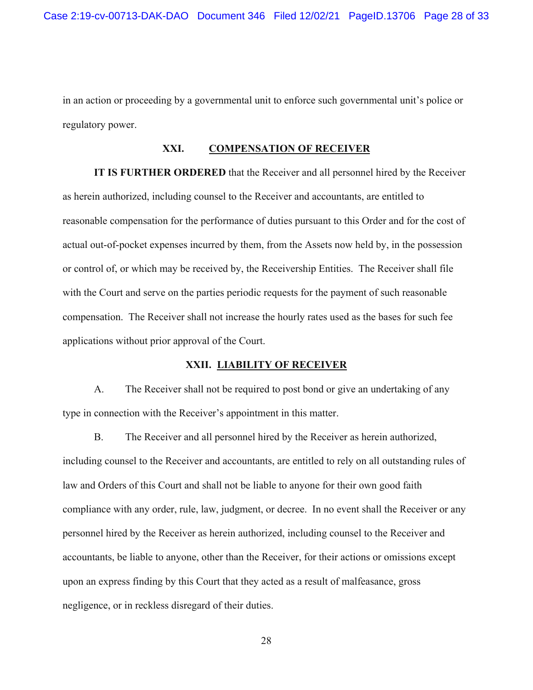in an action or proceeding by a governmental unit to enforce such governmental unit's police or regulatory power.

## **XXI. COMPENSATION OF RECEIVER**

**IT IS FURTHER ORDERED** that the Receiver and all personnel hired by the Receiver as herein authorized, including counsel to the Receiver and accountants, are entitled to reasonable compensation for the performance of duties pursuant to this Order and for the cost of actual out-of-pocket expenses incurred by them, from the Assets now held by, in the possession or control of, or which may be received by, the Receivership Entities. The Receiver shall file with the Court and serve on the parties periodic requests for the payment of such reasonable compensation. The Receiver shall not increase the hourly rates used as the bases for such fee applications without prior approval of the Court.

### **XXII. LIABILITY OF RECEIVER**

A. The Receiver shall not be required to post bond or give an undertaking of any type in connection with the Receiver's appointment in this matter.

B. The Receiver and all personnel hired by the Receiver as herein authorized, including counsel to the Receiver and accountants, are entitled to rely on all outstanding rules of law and Orders of this Court and shall not be liable to anyone for their own good faith compliance with any order, rule, law, judgment, or decree. In no event shall the Receiver or any personnel hired by the Receiver as herein authorized, including counsel to the Receiver and accountants, be liable to anyone, other than the Receiver, for their actions or omissions except upon an express finding by this Court that they acted as a result of malfeasance, gross negligence, or in reckless disregard of their duties.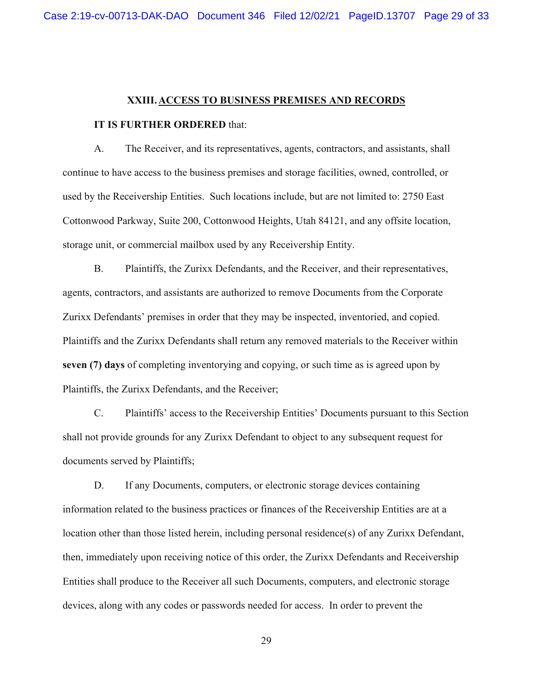#### **XXIII.ACCESS TO BUSINESS PREMISES AND RECORDS**

#### **IT IS FURTHER ORDERED** that:

A. The Receiver, and its representatives, agents, contractors, and assistants, shall continue to have access to the business premises and storage facilities, owned, controlled, or used by the Receivership Entities. Such locations include, but are not limited to: 2750 East Cottonwood Parkway, Suite 200, Cottonwood Heights, Utah 84121, and any offsite location, storage unit, or commercial mailbox used by any Receivership Entity.

B. Plaintiffs, the Zurixx Defendants, and the Receiver, and their representatives, agents, contractors, and assistants are authorized to remove Documents from the Corporate Zurixx Defendants' premises in order that they may be inspected, inventoried, and copied. Plaintiffs and the Zurixx Defendants shall return any removed materials to the Receiver within **seven (7) days** of completing inventorying and copying, or such time as is agreed upon by Plaintiffs, the Zurixx Defendants, and the Receiver;

C. Plaintiffs' access to the Receivership Entities' Documents pursuant to this Section shall not provide grounds for any Zurixx Defendant to object to any subsequent request for documents served by Plaintiffs;

D. If any Documents, computers, or electronic storage devices containing information related to the business practices or finances of the Receivership Entities are at a location other than those listed herein, including personal residence(s) of any Zurixx Defendant, then, immediately upon receiving notice of this order, the Zurixx Defendants and Receivership Entities shall produce to the Receiver all such Documents, computers, and electronic storage devices, along with any codes or passwords needed for access. In order to prevent the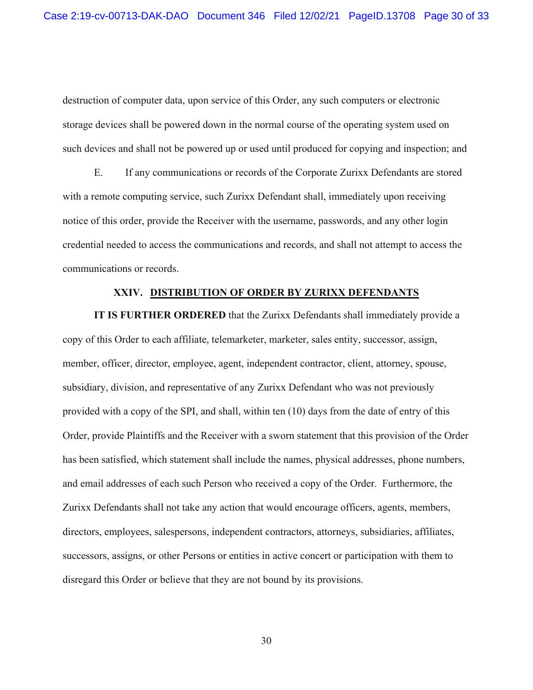destruction of computer data, upon service of this Order, any such computers or electronic storage devices shall be powered down in the normal course of the operating system used on such devices and shall not be powered up or used until produced for copying and inspection; and

E. If any communications or records of the Corporate Zurixx Defendants are stored with a remote computing service, such Zurixx Defendant shall, immediately upon receiving notice of this order, provide the Receiver with the username, passwords, and any other login credential needed to access the communications and records, and shall not attempt to access the communications or records.

## **XXIV. DISTRIBUTION OF ORDER BY ZURIXX DEFENDANTS**

**IT IS FURTHER ORDERED** that the Zurixx Defendants shall immediately provide a copy of this Order to each affiliate, telemarketer, marketer, sales entity, successor, assign, member, officer, director, employee, agent, independent contractor, client, attorney, spouse, subsidiary, division, and representative of any Zurixx Defendant who was not previously provided with a copy of the SPI, and shall, within ten (10) days from the date of entry of this Order, provide Plaintiffs and the Receiver with a sworn statement that this provision of the Order has been satisfied, which statement shall include the names, physical addresses, phone numbers, and email addresses of each such Person who received a copy of the Order. Furthermore, the Zurixx Defendants shall not take any action that would encourage officers, agents, members, directors, employees, salespersons, independent contractors, attorneys, subsidiaries, affiliates, successors, assigns, or other Persons or entities in active concert or participation with them to disregard this Order or believe that they are not bound by its provisions.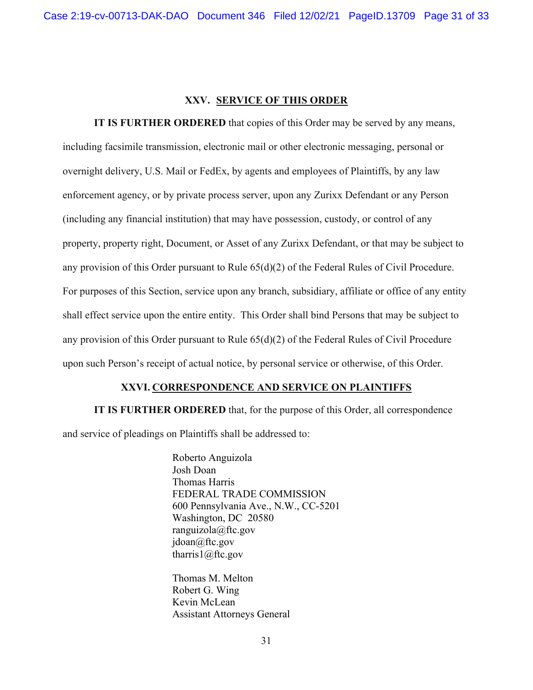## **XXV. SERVICE OF THIS ORDER**

**IT IS FURTHER ORDERED** that copies of this Order may be served by any means, including facsimile transmission, electronic mail or other electronic messaging, personal or overnight delivery, U.S. Mail or FedEx, by agents and employees of Plaintiffs, by any law enforcement agency, or by private process server, upon any Zurixx Defendant or any Person (including any financial institution) that may have possession, custody, or control of any property, property right, Document, or Asset of any Zurixx Defendant, or that may be subject to any provision of this Order pursuant to Rule  $65(d)(2)$  of the Federal Rules of Civil Procedure. For purposes of this Section, service upon any branch, subsidiary, affiliate or office of any entity shall effect service upon the entire entity. This Order shall bind Persons that may be subject to any provision of this Order pursuant to Rule 65(d)(2) of the Federal Rules of Civil Procedure upon such Person's receipt of actual notice, by personal service or otherwise, of this Order.

#### **XXVI. CORRESPONDENCE AND SERVICE ON PLAINTIFFS**

**IT IS FURTHER ORDERED** that, for the purpose of this Order, all correspondence and service of pleadings on Plaintiffs shall be addressed to:

> Roberto Anguizola Josh Doan Thomas Harris FEDERAL TRADE COMMISSION 600 Pennsylvania Ave., N.W., CC-5201 Washington, DC 20580 ranguizola@ftc.gov jdoan@ftc.gov tharris1@ftc.gov

Thomas M. Melton Robert G. Wing Kevin McLean Assistant Attorneys General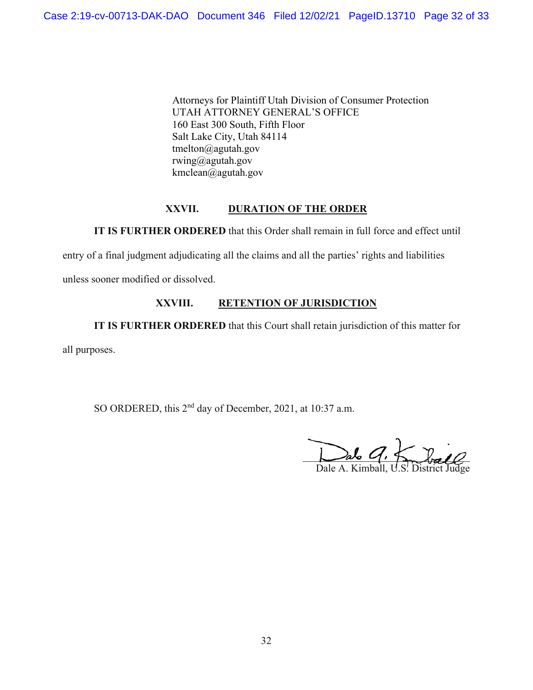Attorneys for Plaintiff Utah Division of Consumer Protection UTAH ATTORNEY GENERAL'S OFFICE 160 East 300 South, Fifth Floor Salt Lake City, Utah 84114 tmelton@agutah.gov rwing@agutah.gov kmclean@agutah.gov

## **XXVII. DURATION OF THE ORDER**

**IT IS FURTHER ORDERED** that this Order shall remain in full force and effect until

entry of a final judgment adjudicating all the claims and all the parties' rights and liabilities

unless sooner modified or dissolved.

# **XXVIII. RETENTION OF JURISDICTION**

**IT IS FURTHER ORDERED** that this Court shall retain jurisdiction of this matter for

all purposes.

SO ORDERED, this 2<sup>nd</sup> day of December, 2021, at 10:37 a.m.

 $\Delta$ alo  $U$ ,  $f_{\lambda}$   $\sqrt{m10}$ 

Dale A. Kimball, U.S. District Judge